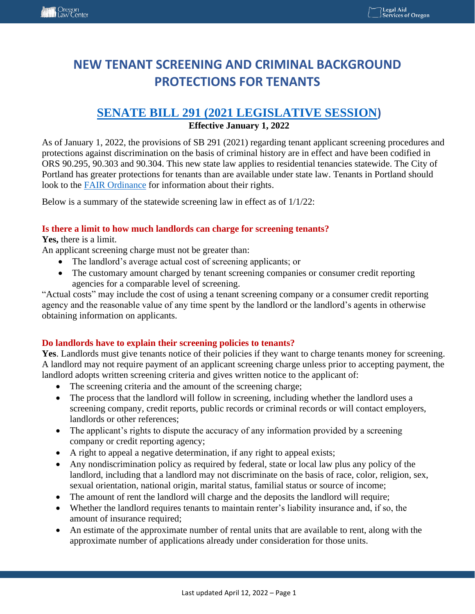# **NEW TENANT SCREENING AND CRIMINAL BACKGROUND PROTECTIONS FOR TENANTS**

# **SENATE BILL 291 [\(2021 LEGISLATIVE SESSION](https://olis.oregonlegislature.gov/liz/2021R1/Downloads/MeasureDocument/SB291/Enrolled))**

### **Effective January 1, 2022**

As of January 1, 2022, the provisions of SB 291 (2021) regarding tenant applicant screening procedures and protections against discrimination on the basis of criminal history are in effect and have been codified in ORS 90.295, 90.303 and 90.304. This new state law applies to residential tenancies statewide. The City of Portland has greater protections for tenants than are available under state law. Tenants in Portland should look to the [FAIR Ordinance](https://www.portland.gov/sites/default/files/2020-02/phb-rso-brochure-screening-v8-spreads.pdf?_ga=2.95410972.1010242960.1647899689-609654966.1647899689) for information about their rights.

Below is a summary of the statewide screening law in effect as of 1/1/22:

#### **Is there a limit to how much landlords can charge for screening tenants?**

#### **Yes,** there is a limit.

An applicant screening charge must not be greater than:

- The landlord's average actual cost of screening applicants; or
- The customary amount charged by tenant screening companies or consumer credit reporting agencies for a comparable level of screening.

"Actual costs" may include the cost of using a tenant screening company or a consumer credit reporting agency and the reasonable value of any time spent by the landlord or the landlord's agents in otherwise obtaining information on applicants.

### **Do landlords have to explain their screening policies to tenants?**

Yes. Landlords must give tenants notice of their policies if they want to charge tenants money for screening. A landlord may not require payment of an applicant screening charge unless prior to accepting payment, the landlord adopts written screening criteria and gives written notice to the applicant of:

- The screening criteria and the amount of the screening charge;
- The process that the landlord will follow in screening, including whether the landlord uses a screening company, credit reports, public records or criminal records or will contact employers, landlords or other references;
- The applicant's rights to dispute the accuracy of any information provided by a screening company or credit reporting agency;
- A right to appeal a negative determination, if any right to appeal exists;
- Any nondiscrimination policy as required by federal, state or local law plus any policy of the landlord, including that a landlord may not discriminate on the basis of race, color, religion, sex, sexual orientation, national origin, marital status, familial status or source of income;
- The amount of rent the landlord will charge and the deposits the landlord will require;
- Whether the landlord requires tenants to maintain renter's liability insurance and, if so, the amount of insurance required;
- An estimate of the approximate number of rental units that are available to rent, along with the approximate number of applications already under consideration for those units.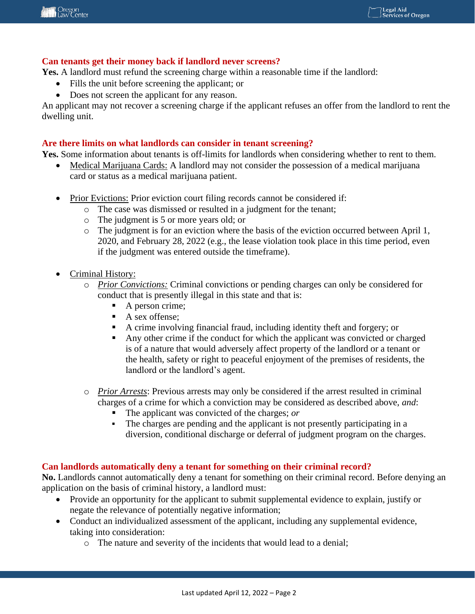#### **Can tenants get their money back if landlord never screens?**

**Yes.** A landlord must refund the screening charge within a reasonable time if the landlord:

- Fills the unit before screening the applicant; or
- Does not screen the applicant for any reason.

An applicant may not recover a screening charge if the applicant refuses an offer from the landlord to rent the dwelling unit.

#### **Are there limits on what landlords can consider in tenant screening?**

**Yes.** Some information about tenants is off-limits for landlords when considering whether to rent to them.

- Medical Marijuana Cards: A landlord may not consider the possession of a medical marijuana card or status as a medical marijuana patient.
- Prior Evictions: Prior eviction court filing records cannot be considered if:
	- o The case was dismissed or resulted in a judgment for the tenant;
	- o The judgment is 5 or more years old; or
	- o The judgment is for an eviction where the basis of the eviction occurred between April 1, 2020, and February 28, 2022 (e.g., the lease violation took place in this time period, even if the judgment was entered outside the timeframe).
- Criminal History:
	- o *Prior Convictions:* Criminal convictions or pending charges can only be considered for conduct that is presently illegal in this state and that is:
		- A person crime;
		- A sex offense:
		- A crime involving financial fraud, including identity theft and forgery; or
		- Any other crime if the conduct for which the applicant was convicted or charged is of a nature that would adversely affect property of the landlord or a tenant or the health, safety or right to peaceful enjoyment of the premises of residents, the landlord or the landlord's agent.
	- o *Prior Arrests*: Previous arrests may only be considered if the arrest resulted in criminal charges of a crime for which a conviction may be considered as described above, *and*:
		- The applicant was convicted of the charges; *or*
		- The charges are pending and the applicant is not presently participating in a diversion, conditional discharge or deferral of judgment program on the charges.

#### **Can landlords automatically deny a tenant for something on their criminal record?**

**No.** Landlords cannot automatically deny a tenant for something on their criminal record. Before denying an application on the basis of criminal history, a landlord must:

- Provide an opportunity for the applicant to submit supplemental evidence to explain, justify or negate the relevance of potentially negative information;
- Conduct an individualized assessment of the applicant, including any supplemental evidence, taking into consideration:
	- o The nature and severity of the incidents that would lead to a denial;